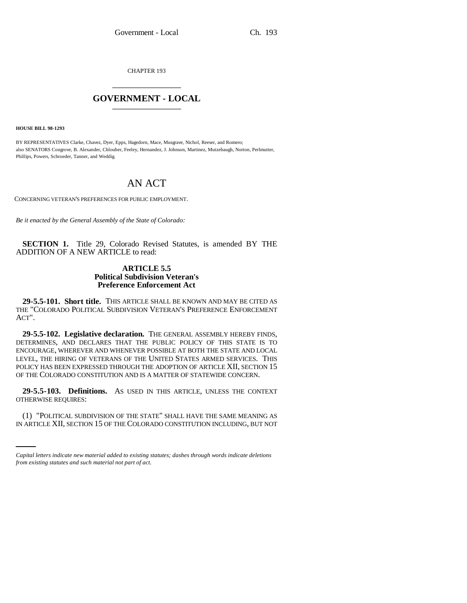CHAPTER 193 \_\_\_\_\_\_\_\_\_\_\_\_\_\_\_

## **GOVERNMENT - LOCAL** \_\_\_\_\_\_\_\_\_\_\_\_\_\_\_

**HOUSE BILL 98-1293**

BY REPRESENTATIVES Clarke, Chavez, Dyer, Epps, Hagedorn, Mace, Musgrave, Nichol, Reeser, and Romero; also SENATORS Congrove, B. Alexander, Chlouber, Feeley, Hernandez, J. Johnson, Martinez, Mutzebaugh, Norton, Perlmutter, Phillips, Powers, Schroeder, Tanner, and Weddig.

## AN ACT

CONCERNING VETERAN'S PREFERENCES FOR PUBLIC EMPLOYMENT.

*Be it enacted by the General Assembly of the State of Colorado:*

**SECTION 1.** Title 29, Colorado Revised Statutes, is amended BY THE ADDITION OF A NEW ARTICLE to read:

## **ARTICLE 5.5 Political Subdivision Veteran's Preference Enforcement Act**

**29-5.5-101. Short title.** THIS ARTICLE SHALL BE KNOWN AND MAY BE CITED AS THE "COLORADO POLITICAL SUBDIVISION VETERAN'S PREFERENCE ENFORCEMENT ACT".

**29-5.5-102. Legislative declaration.** THE GENERAL ASSEMBLY HEREBY FINDS, DETERMINES, AND DECLARES THAT THE PUBLIC POLICY OF THIS STATE IS TO ENCOURAGE, WHEREVER AND WHENEVER POSSIBLE AT BOTH THE STATE AND LOCAL LEVEL, THE HIRING OF VETERANS OF THE UNITED STATES ARMED SERVICES. THIS POLICY HAS BEEN EXPRESSED THROUGH THE ADOPTION OF ARTICLE XII, SECTION 15 OF THE COLORADO CONSTITUTION AND IS A MATTER OF STATEWIDE CONCERN.

**29-5.5-103. Definitions.** AS USED IN THIS ARTICLE, UNLESS THE CONTEXT OTHERWISE REQUIRES:

(1) "POLITICAL SUBDIVISION OF THE STATE" SHALL HAVE THE SAME MEANING AS IN ARTICLE XII, SECTION 15 OF THE COLORADO CONSTITUTION INCLUDING, BUT NOT

*Capital letters indicate new material added to existing statutes; dashes through words indicate deletions from existing statutes and such material not part of act.*